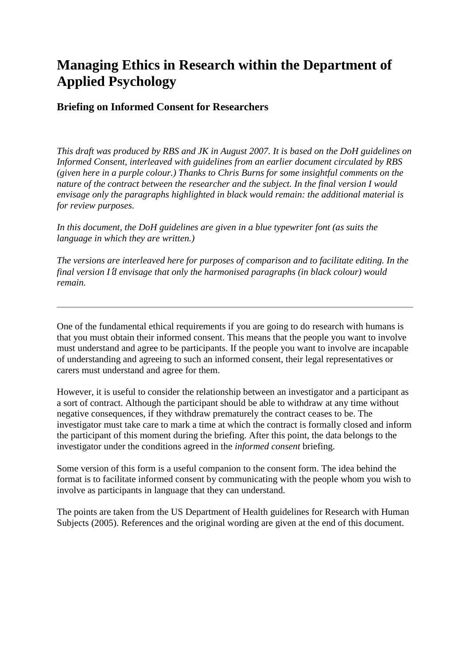# **Managing Ethics in Research within the Department of Applied Psychology**

# **Briefing on Informed Consent for Researchers**

*This draft was produced by RBS and JK in August 2007. It is based on the DoH guidelines on Informed Consent, interleaved with guidelines from an earlier document circulated by RBS (given here in a purple colour.) Thanks to Chris Burns for some insightful comments on the nature of the contract between the researcher and the subject. In the final version I would envisage only the paragraphs highlighted in black would remain: the additional material is for review purposes.*

*In this document, the DoH guidelines are given in a blue typewriter font (as suits the language in which they are written.)*

*The versions are interleaved here for purposes of comparison and to facilitate editing. In the final version I*'*d envisage that only the harmonised paragraphs (in black colour) would remain.*

One of the fundamental ethical requirements if you are going to do research with humans is that you must obtain their informed consent. This means that the people you want to involve must understand and agree to be participants. If the people you want to involve are incapable of understanding and agreeing to such an informed consent, their legal representatives or carers must understand and agree for them.

However, it is useful to consider the relationship between an investigator and a participant as a sort of contract. Although the participant should be able to withdraw at any time without negative consequences, if they withdraw prematurely the contract ceases to be. The investigator must take care to mark a time at which the contract is formally closed and inform the participant of this moment during the briefing. After this point, the data belongs to the investigator under the conditions agreed in the *informed consent* briefing.

Some version of this form is a useful companion to the consent form. The idea behind the format is to facilitate informed consent by communicating with the people whom you wish to involve as participants in language that they can understand.

The points are taken from the US Department of Health guidelines for Research with Human Subjects (2005). References and the original wording are given at the end of this document.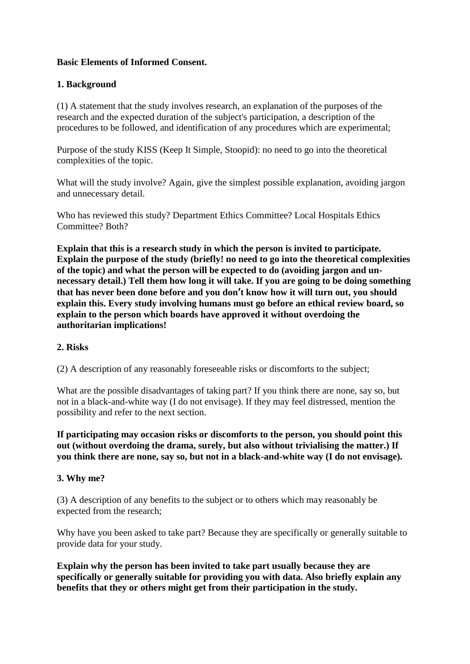# **Basic Elements of Informed Consent.**

# **1. Background**

(1) A statement that the study involves research, an explanation of the purposes of the research and the expected duration of the subject's participation, a description of the procedures to be followed, and identification of any procedures which are experimental;

Purpose of the study KISS (Keep It Simple, Stoopid): no need to go into the theoretical complexities of the topic.

What will the study involve? Again, give the simplest possible explanation, avoiding jargon and unnecessary detail.

Who has reviewed this study? Department Ethics Committee? Local Hospitals Ethics Committee? Both?

**Explain that this is a research study in which the person is invited to participate. Explain the purpose of the study (briefly! no need to go into the theoretical complexities of the topic) and what the person will be expected to do (avoiding jargon and unnecessary detail.) Tell them how long it will take. If you are going to be doing something that has never been done before and you don't know how it will turn out, you should explain this. Every study involving humans must go before an ethical review board, so explain to the person which boards have approved it without overdoing the authoritarian implications!**

### **2. Risks**

(2) A description of any reasonably foreseeable risks or discomforts to the subject;

What are the possible disadvantages of taking part? If you think there are none, say so, but not in a black-and-white way (I do not envisage). If they may feel distressed, mention the possibility and refer to the next section.

**If participating may occasion risks or discomforts to the person, you should point this out (without overdoing the drama, surely, but also without trivialising the matter.) If you think there are none, say so, but not in a black-and-white way (I do not envisage).**

### **3. Why me?**

(3) A description of any benefits to the subject or to others which may reasonably be expected from the research;

Why have you been asked to take part? Because they are specifically or generally suitable to provide data for your study.

**Explain why the person has been invited to take part usually because they are specifically or generally suitable for providing you with data. Also briefly explain any benefits that they or others might get from their participation in the study.**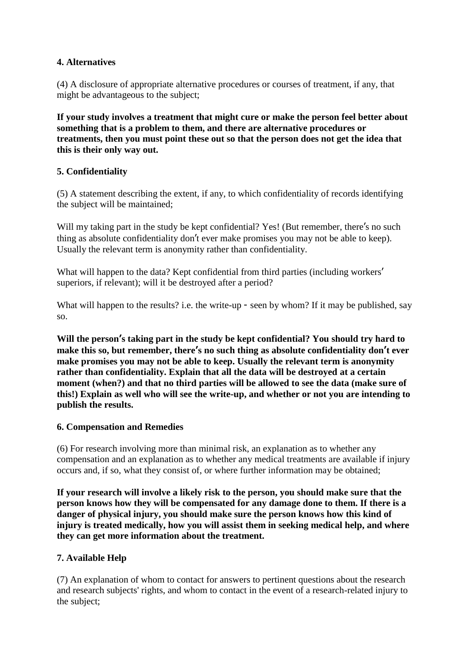# **4. Alternatives**

(4) A disclosure of appropriate alternative procedures or courses of treatment, if any, that might be advantageous to the subject;

**If your study involves a treatment that might cure or make the person feel better about something that is a problem to them, and there are alternative procedures or treatments, then you must point these out so that the person does not get the idea that this is their only way out.**

# **5. Confidentiality**

(5) A statement describing the extent, if any, to which confidentiality of records identifying the subject will be maintained;

Will my taking part in the study be kept confidential? Yes! (But remember, there's no such thing as absolute confidentiality don't ever make promises you may not be able to keep). Usually the relevant term is anonymity rather than confidentiality.

What will happen to the data? Kept confidential from third parties (including workers' superiors, if relevant); will it be destroyed after a period?

What will happen to the results? i.e. the write-up - seen by whom? If it may be published, say so.

**Will the person's taking part in the study be kept confidential? You should try hard to make this so, but remember, there's no such thing as absolute confidentiality don't ever make promises you may not be able to keep. Usually the relevant term is anonymity rather than confidentiality. Explain that all the data will be destroyed at a certain moment (when?) and that no third parties will be allowed to see the data (make sure of this!) Explain as well who will see the write-up, and whether or not you are intending to publish the results.**

### **6. Compensation and Remedies**

(6) For research involving more than minimal risk, an explanation as to whether any compensation and an explanation as to whether any medical treatments are available if injury occurs and, if so, what they consist of, or where further information may be obtained;

**If your research will involve a likely risk to the person, you should make sure that the person knows how they will be compensated for any damage done to them. If there is a danger of physical injury, you should make sure the person knows how this kind of injury is treated medically, how you will assist them in seeking medical help, and where they can get more information about the treatment.**

### **7. Available Help**

(7) An explanation of whom to contact for answers to pertinent questions about the research and research subjects' rights, and whom to contact in the event of a research-related injury to the subject;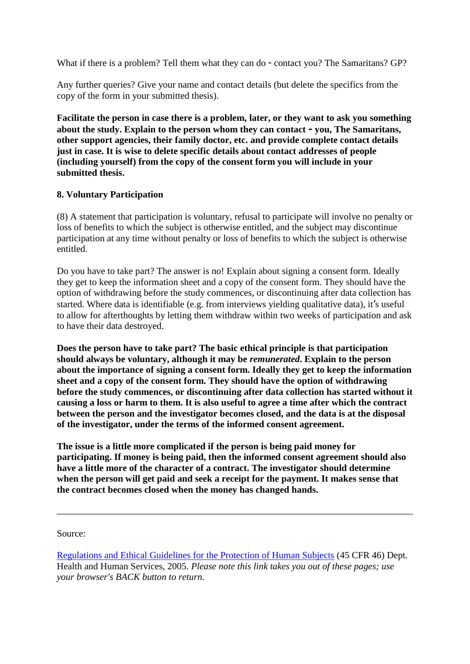What if there is a problem? Tell them what they can do - contact you? The Samaritans? GP?

Any further queries? Give your name and contact details (but delete the specifics from the copy of the form in your submitted thesis).

**Facilitate the person in case there is a problem, later, or they want to ask you something about the study. Explain to the person whom they can contact - you, The Samaritans, other support agencies, their family doctor, etc. and provide complete contact details just in case. It is wise to delete specific details about contact addresses of people (including yourself) from the copy of the consent form you will include in your submitted thesis.**

#### **8. Voluntary Participation**

(8) A statement that participation is voluntary, refusal to participate will involve no penalty or loss of benefits to which the subject is otherwise entitled, and the subject may discontinue participation at any time without penalty or loss of benefits to which the subject is otherwise entitled.

Do you have to take part? The answer is no! Explain about signing a consent form. Ideally they get to keep the information sheet and a copy of the consent form. They should have the option of withdrawing before the study commences, or discontinuing after data collection has started. Where data is identifiable (e.g. from interviews yielding qualitative data), it's useful to allow for afterthoughts by letting them withdraw within two weeks of participation and ask to have their data destroyed.

**Does the person have to take part? The basic ethical principle is that participation should always be voluntary, although it may be** *remunerated***. Explain to the person about the importance of signing a consent form. Ideally they get to keep the information sheet and a copy of the consent form. They should have the option of withdrawing before the study commences, or discontinuing after data collection has started without it causing a loss or harm to them. It is also useful to agree a time after which the contract between the person and the investigator becomes closed, and the data is at the disposal of the investigator, under the terms of the informed consent agreement.**

**The issue is a little more complicated if the person is being paid money for participating. If money is being paid, then the informed consent agreement should also have a little more of the character of a contract. The investigator should determine when the person will get paid and seek a receipt for the payment. It makes sense that the contract becomes closed when the money has changed hands.**

Source:

[Regulations and Ethical Guidelines for the Protection of Human Subjects](http://ohsr.od.nih.gov/guidelines/45cfr46.html) (45 CFR 46) Dept. Health and Human Services, 2005. *Please note this link takes you out of these pages; use your browser's BACK button to return.*